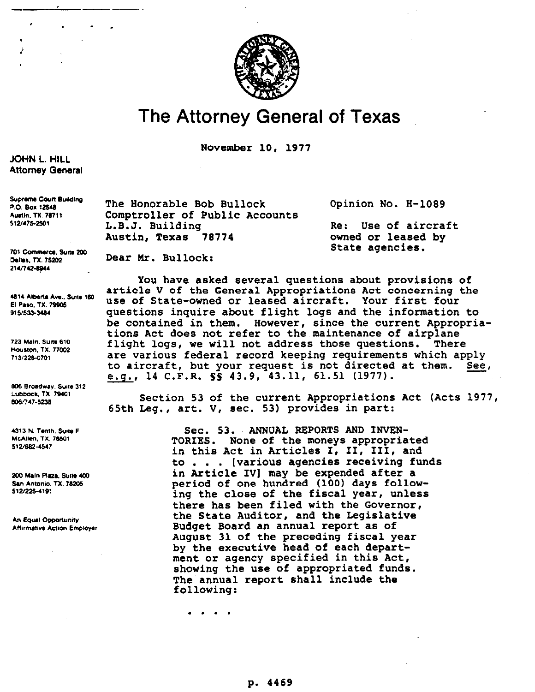

## **The Attorney General of Texas**

November 10, 1977

## **JOHN L. HILL Attorney General**

**Supreme Court Building** P.O. Box 12548 **Austin, TX. 78711** 512/475-2501

701 Commerce, Suite 200 Dallas, TX, 75202 214/742-8944

4814 Alberta Ave., Suite 160 El Paso, TX. 79905 915/533-3484

723 Main, Suite 610 Houston, TX. 77002 713/228-0701

806 Broadway, Suite 312 Lubbock, TX. 79401 806/747-5238

4313 N. Tenth, Suite F **McAllen, TX. 78501** 512/682-4547

200 Main Plaza, Suite 400 San Antonio, TX. 78205 512/225-4191

An Equal Opportunity **Affirmative Action Employer** 

The Honorable Bob Bullock Opinion No. H-1089 Comptroller of Public Accounts<br>L.B.J. Building Austin, Texas 78774

Dear Mr. Bullock:

Re: Use of aircraft<br>owned or leased by State agencies.

you have asked several questions about provisions of article V of the General Appropriations Act concerning the **use** of State-owned or leased aircraft. **Your** first four questions inquire about flight logs and the information to be contained in them. However, since the current Appropriations Act does not refer to the maintenance of airplane flight logs, we will not address those questions. There **are** various federal record keeping requirements which apply to aircraft, but your request is not directed at them. See, e.g., 14 C.F.R. 99 43.9, 43.11, 61.51 (1977).

Section 53 **of** the current Appropriations Act (Acts 1977, 65th Leg., art. V, sec. 53) provides in part:

> Sec. 53. ANNUAL REPORTS AND INVEN-TORIES. None of the moneys appropriated in this Act in Articles I, II, III, and to . . . [various agencies receiving funds in Article IV] may be expended after a period of one hundred (100) days following the close of the fiscal year, unless there has been filed with the Governor, the State Auditor, and the Legislative Budget Board an annual report as of August 31 of the preceding fiscal year **by** the executive head of each department or agency specified in this **Act,**  showing the use of appropriated funds. The annual report shall include the following:

. . . .

p. 4469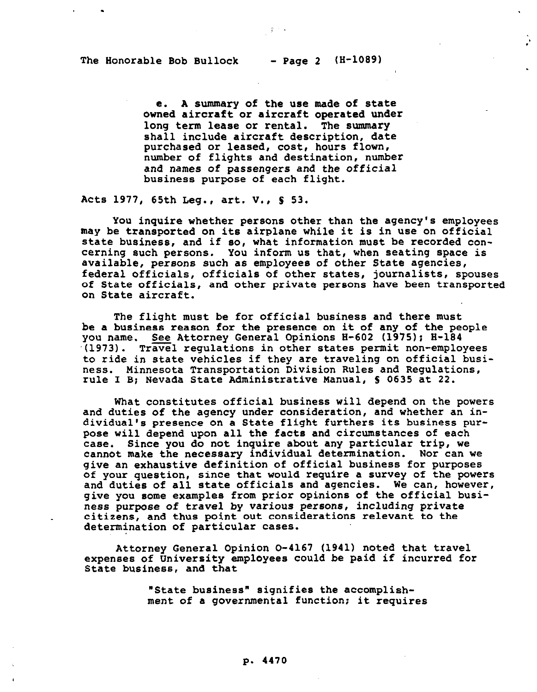e. A summary of the use made **of** state owned aircraft or aircraft operated under long term lease or rental. The summary shall include aircraft description, date purchased or leased, cost, hours flown, number of flights and destination, number and names of passengers and the official business purpose of each flight.

 $\mathcal{L}^{(2)}$ 

Acts 1977, 65th Leg., art. V., 8 53.

You inquire whether persons other than the agency's employees may be transported on its airplane while it is in use on official state business, and if so, what information must **be** recorded concerning such persons. You inform us that, when seating space is available, persons such as employees of other State agencies, federal officials, officials of other states, journalists, spouses of State officials, and other private persons have been transported on State aircraft.

The flight must be for official business and there must be a business reason for the presence on it of any **of** the people you name. See Attorney General Opinions H-602 (1975); H-184 -(1973). Travel regulations in other states permit non-employees to ride in state vehicles if they are traveling on official business. Minnesota Transportation Division Rules and Regulations, rule I B; Nevada State Administrative Manual, S 0635 at 22.

What constitutes official business will depend on the powers and duties of the agency under consideration, and whether an individual's presence **on** a State flight furthers its business purpose will depend upon all the facts and circumstances of each case. Since you do not inquire about any particular trip, we cannot make the necessary individual determination. **Nor** can we give an exhaustive definition of official business for purposes of your question, since that would require a survey of the powers and duties of all state officials and agencies. We can, however, give you some examples from prior opinions of the official business purpose of travel by *various persons,* including private citizens, and thus point out considerations relevant to the determination of particular cases.

Attorney General Opinion 0-4167 (1941) noted that travel expenses of University employees could be paid if incurred for State business, and that

> "State business" signifies the accomplishment of a governmental function; it requires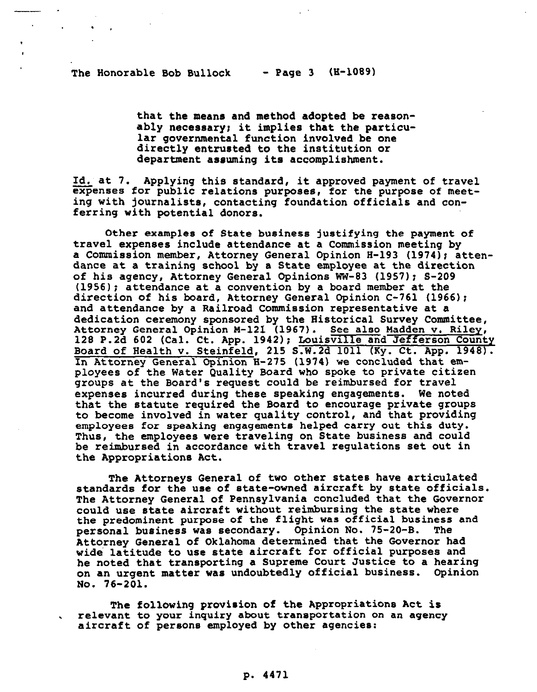-.

. .

that the means and method adopted be reasonably necessary; it implies **that** the particular governmental function involved **be one**  directly entrusted to the institution or department assuming its accomplishment.

Id. at 7. Applying this standard, it approved payment of travel expenses for public relations purposes, for the purpose of meeting with journalists, contacting foundation officials and conferring with potential donors.

Other examples of State business justifying the payment of travel expenses include attendance at a Commission **meeting** by a Commission member, Attorney General Opinion H-193 (1974); attendance at a training school by a State employee at the direction of his agency, Attorney General Opinions WW-83 (1957): S-209 (1956); attendance at a convention by a board member at the direction of his board, Attorney General Opinion C-761 (1966); and attendance by a Railroad Commission representative at a dedication ceremony sponsored by the Historical Survey Committee, Attorney General Opinion M-121 (1967). See also Madden v. Riley, 128 P.2d 602 (Cal. Ct. App. 1942); Louisville and Jefferson County Board of Health v. Steinfeld, 215 S.W.Zd 1011 (Ky. Ct. App. 1948). In Attorney General Opinion **H-275** (1974) we concluded that employees of the Water Quality Board who spoke to private citizen groups at the Board's request could be reimbursed for travel expenses incurred during these speaking engagements. We noted that the **statute** required the Board to encourage private groups to become involved in water quality control, and that providing employees for speaking engagements helped carry out this duty. Thus, the employees were traveling on State business and could be reimbursed in accordance with travel regulations set out in the Appropriations Act.

The Attorneys General of two other states have articulated standards for the use of state-owned aircraft by state officials. The **Attorney** General **of** Pennsylvania concluded that the Governor could use state aircraft without reimbursing the state where the predominent purpose of the flight was official business and<br>personal business was secondary. Opinion No. 75-20-B. The personal business was secondary. Opinion No. 75-20-B. **Attorney** General **of** Oklahoma determined that **the** Governor had wide latitude to use state aircraft for official purposes and he noted that transporting a Supreme Court Justice to a hearing on an urgent matter was undoubtedly official business. Opinion No. 76-201.

The following provision **of** the Appropriations Act is . relevant to your inquiry about **transportation** on **an** agency aircraft of persons employed by other *agencies:* 

## p. 4471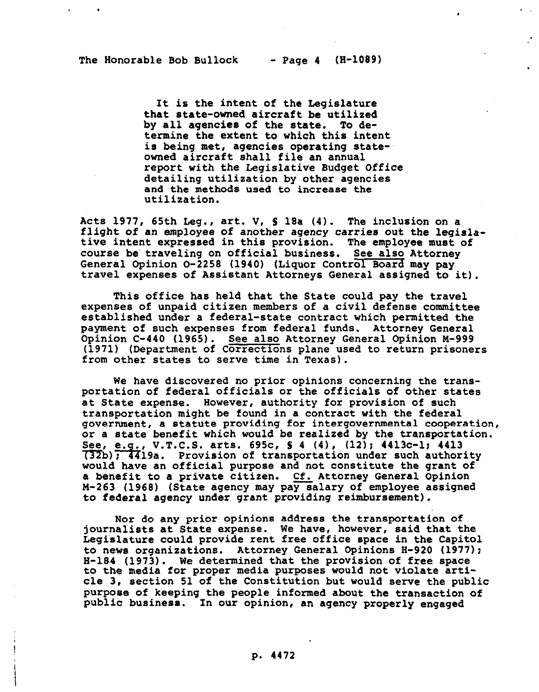. .

It is the intent of the Legislature that state-owned aircraft be utilized<br>by all agencies of the state. To deby all agencies of the state. termine the extent to which this intent is being met, agencies operating stateowned aircraft shall file an annual report with the Legislative Budget Office detailing utilization by other agencies and **the** methods used to increase the utilization.

Acts 1977, 65th Leg., **art. V, S** 18a (4). The inclusion on a flight of an employee of another agency carries out the legislative intent expressed in this provision. The employee must **of**  course be' traveling on official business. **See also Attorney**  General Opinion O-2258 (1940) (Liquor Control Board may pay travel expenses of Assistant Attorneys General assigned to it).

This office has held that the State could pay the travel expenses of unpaid citizen **members** of a civil defense committee established under a federal-state contract which permitted the payment of such expenses **from** federal funds. Attorney General Opinion C-440 (1965). See also Attorney General Opinion M-999 (1971) (Department of Corrections plane used to return prisoners from other states to serve time in Texas).

We have discovered no prior opinions concerning the transportation of federal officials or the officials of other states at State expense. However, authority for provision of such transportation might be found in a contract with the federal government, **a** statute providing for intergovernmental cooperation, or a state benefit which would be realized by the transportation. See, e.g., V.T.C.S. arts. 695c,  $S$  4 (4), (12); 4413c-1; 4413  $(32b)$ ; 4419a. Provision of transportation under such authority would have an official purpose and not constitute the grant **of**  a benefit to a private citizen. Cf. Attorney General Opinion M-263 (1968) (State agency may pay salary of employee assigned to federal agency under grant providing reimbursement).

Nor do any prior opinions address the transportation of journalists at State expense. We have, **however,** said that the Legislature could provide rent free office space in the Capitol to news organizations. Attorney General Opinions H-920 (1977); H-184 (1973). We determined that the provision of free space to the media for proper media purposes would not violate article 3, **section** 51 of the Constitution but would serve the public purpose **of** keeping the people informed about the transaction of public business. In our opinion, an **agency** properly engaged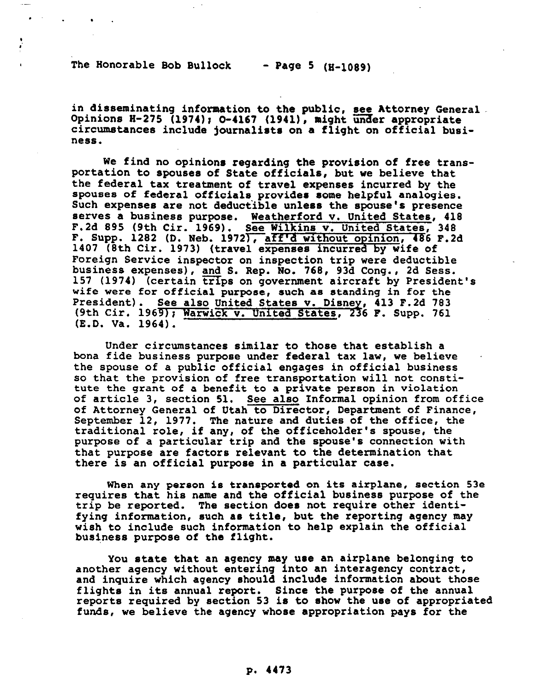The Honorable Bob Bullock  $-$  Page 5 (H-1089)

. . .

in disseminating information to the public, see Attorney General. Opinions H-275 (1974); O-4167 (1941), might under appropriate circumstances include journalists on **a** flight on official business.

We find no opinions regarding the provision **of** free transportation to spouses of State officials, but we believe that the federal tax treatment **of** travel expenses incurred by the spouses of federal officials provides some helpful analogies. Such expenses are not deductible unless the spouse's presence serves a business purpose. Weatherford v. United States, 418 F.Zd 895 (9th Cir. 1969). See Wilkins v. United States, 348 F. Supp. 1282 (D. Neb. 1972), aff'd without opinion, 486 F.2d 1407 (8th Cir. 1973) (travel expenses incurred by wife of Foreign Service inspector on inspection trip were deductible business expenses), and S. Rep. No. 768, 93d Cong., Zd Sess. 157 (1974) (certain trips on government aircraft by President's wife were for official purpose, such as standing in for the President). See also United States v. Disney, 413 F.2d 783 (9th Cir. 1969); Warwick v. United States, 236 F. Supp. 761 (E.D. Va. 1964).

Under circumstances similar to those that establish a bona fide business purpose under federal tax law, we believe the spouse of a public official engages in official business so that the provision of free transportation will not constitute the grant of a benefit to a private person in violation of article 3, section 51. See also Informal opinion from office of Attorney General **of** Utah to Director, Department of Finance, September 12, 1977. The nature and duties **of** the office, the traditional role, if any, of the officeholder's spouse, the purpose of a particular trip and the spouse's connection with that purpose are factors relevant to the determination that there is an official purpose in a particular case.

When any person is transported on its airplane, section 53e requires that his name and the official business purpose of the trip be reported. The section does not require other identifying information, such as title, but the reporting agency **may**  wish to include such information to help explain the official business purpose of the flight.

You state that an agency may use an airplane belonging to another agency without entering into an interagency contract, and inquire which agency should include information about those flights in its annual report. Since the purpose **of** the annual reports required by section 53 is to show the use of appropriated funds, we believe the agency whose appropriation pays for the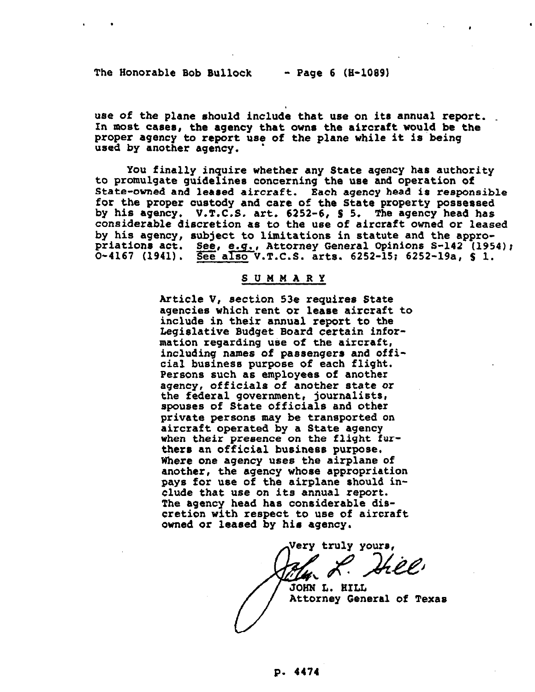, .

use of the plane should include that use on its annual report. In mOst ca6e6, the agency that owns the aircraft would be the proper agency to report use of the plane while it is being used by another agency.

You finally inquire whether any State agency has authority to promulgate guidelines concerning the use and operation of State-owned and leased aircraft. Each agency head is responsible for the proper custody and care of the State property possessed by his agency. V.T.C.S. art. 6252-6, S 5. The agency head has considerable discretion as to the use **of** aircraft owned or leased by his agency, subject to limitations in statute and the appropriations act. See, e.g., Attorney General Opinions S-142 (1954); 0-4167 (1941). See also V.T.C.S. arts. 6252-15; 6252-19a, \$ 1.

## SUMMARY

Article V, section 53e requires State agenciee which rent or lease aircraft to include in their annual report to the Legislative Budget Board certain information regarding use of the aircraft, including names of passengers and official businese purpose **of** each flight. Persons such as employees of another agency, officials of another state or the federal government, journalists, spouses **of** State officials and other private persons may **be** transported on aircraft operated by a State agency when their presence on the flight furthers an official business purpose. Where one agency uses the airplane **of**  another, the agency whose appropriation pays **for** use of the airplane should include that use on its annual report. The agency head has considerable dis**cretion with respect** *to* use of aircraft owned or leased by his agency.

**Very** truly youre,

JOHN L. HILL Attorney **General of** Texas

//